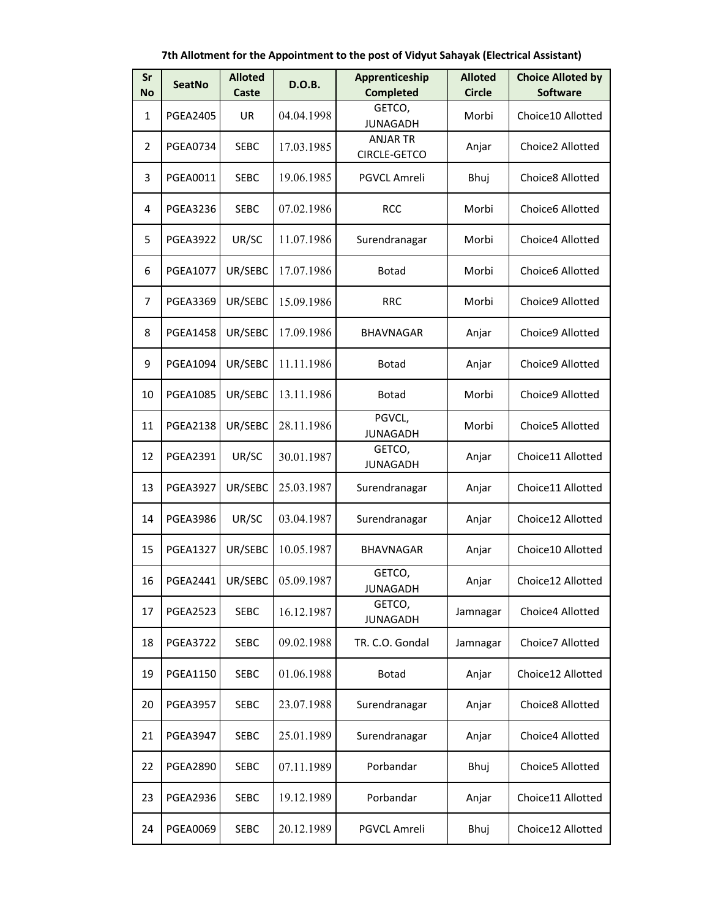**7th Allotment for the Appointment to the post of Vidyut Sahayak (Electrical Assistant)**

| Sr<br><b>No</b> | <b>SeatNo</b>   | <b>Alloted</b><br>Caste | <b>D.O.B.</b> | Apprenticeship<br><b>Completed</b>     | <b>Alloted</b><br><b>Circle</b> | <b>Choice Alloted by</b><br><b>Software</b> |
|-----------------|-----------------|-------------------------|---------------|----------------------------------------|---------------------------------|---------------------------------------------|
| $\mathbf{1}$    | <b>PGEA2405</b> | UR                      | 04.04.1998    | GETCO,<br><b>JUNAGADH</b>              | Morbi                           | Choice10 Allotted                           |
| 2               | <b>PGEA0734</b> | <b>SEBC</b>             | 17.03.1985    | <b>ANJAR TR</b><br><b>CIRCLE-GETCO</b> | Anjar                           | Choice2 Allotted                            |
| 3               | PGEA0011        | <b>SEBC</b>             | 19.06.1985    | PGVCL Amreli                           | Bhuj                            | Choice8 Allotted                            |
| 4               | <b>PGEA3236</b> | <b>SEBC</b>             | 07.02.1986    | <b>RCC</b>                             | Morbi                           | Choice6 Allotted                            |
| 5               | <b>PGEA3922</b> | UR/SC                   | 11.07.1986    | Surendranagar                          | Morbi                           | Choice4 Allotted                            |
| 6               | <b>PGEA1077</b> | UR/SEBC                 | 17.07.1986    | <b>Botad</b>                           | Morbi                           | Choice6 Allotted                            |
| 7               | <b>PGEA3369</b> | UR/SEBC                 | 15.09.1986    | <b>RRC</b>                             | Morbi                           | Choice9 Allotted                            |
| 8               | <b>PGEA1458</b> | UR/SEBC                 | 17.09.1986    | <b>BHAVNAGAR</b>                       | Anjar                           | Choice9 Allotted                            |
| 9               | <b>PGEA1094</b> | UR/SEBC                 | 11.11.1986    | Botad                                  | Anjar                           | Choice9 Allotted                            |
| 10              | <b>PGEA1085</b> | UR/SEBC                 | 13.11.1986    | <b>Botad</b>                           | Morbi                           | Choice9 Allotted                            |
| 11              | <b>PGEA2138</b> | UR/SEBC                 | 28.11.1986    | PGVCL,<br><b>JUNAGADH</b>              | Morbi                           | Choice5 Allotted                            |
| 12              | <b>PGEA2391</b> | UR/SC                   | 30.01.1987    | GETCO,<br><b>JUNAGADH</b>              | Anjar                           | Choice11 Allotted                           |
| 13              | <b>PGEA3927</b> | UR/SEBC                 | 25.03.1987    | Surendranagar                          | Anjar                           | Choice11 Allotted                           |
| 14              | <b>PGEA3986</b> | UR/SC                   | 03.04.1987    | Surendranagar                          | Anjar                           | Choice12 Allotted                           |
| 15              | <b>PGEA1327</b> | UR/SEBC                 | 10.05.1987    | <b>BHAVNAGAR</b>                       | Anjar                           | Choice10 Allotted                           |
| 16              | <b>PGEA2441</b> | UR/SEBC                 | 05.09.1987    | GETCO,<br><b>JUNAGADH</b>              | Anjar                           | Choice12 Allotted                           |
| 17              | <b>PGEA2523</b> | <b>SEBC</b>             | 16.12.1987    | GETCO,<br><b>JUNAGADH</b>              | Jamnagar                        | Choice4 Allotted                            |
| 18              | <b>PGEA3722</b> | <b>SEBC</b>             | 09.02.1988    | TR. C.O. Gondal                        | Jamnagar                        | Choice7 Allotted                            |
| 19              | <b>PGEA1150</b> | <b>SEBC</b>             | 01.06.1988    | <b>Botad</b>                           | Anjar                           | Choice12 Allotted                           |
| 20              | <b>PGEA3957</b> | <b>SEBC</b>             | 23.07.1988    | Surendranagar                          | Anjar                           | Choice8 Allotted                            |
| 21              | <b>PGEA3947</b> | <b>SEBC</b>             | 25.01.1989    | Surendranagar                          | Anjar                           | Choice4 Allotted                            |
| 22              | <b>PGEA2890</b> | <b>SEBC</b>             | 07.11.1989    | Porbandar                              | Bhuj                            | Choice5 Allotted                            |
| 23              | <b>PGEA2936</b> | <b>SEBC</b>             | 19.12.1989    | Porbandar                              | Anjar                           | Choice11 Allotted                           |
| 24              | <b>PGEA0069</b> | <b>SEBC</b>             | 20.12.1989    | PGVCL Amreli                           | Bhuj                            | Choice12 Allotted                           |